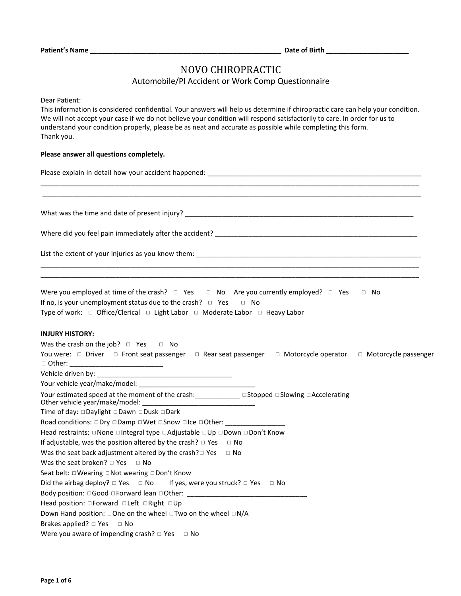## NOVO CHIROPRACTIC

#### Automobile/PI Accident or Work Comp Questionnaire

Dear Patient:

This information is considered confidential. Your answers will help us determine if chiropractic care can help your condition. We will not accept your case if we do not believe your condition will respond satisfactorily to care. In order for us to understand your condition properly, please be as neat and accurate as possible while completing this form. Thank you.

\_\_\_\_\_\_\_\_\_\_\_\_\_\_\_\_\_\_\_\_\_\_\_\_\_\_\_\_\_\_\_\_\_\_\_\_\_\_\_\_\_\_\_\_\_\_\_\_\_\_\_\_\_\_\_\_\_\_\_\_\_\_\_\_\_\_\_\_\_\_\_\_\_\_\_\_\_\_\_\_\_\_\_\_\_\_\_\_\_\_\_\_\_\_\_\_\_\_\_\_\_ \_\_\_\_\_\_\_\_\_\_\_\_\_\_\_\_\_\_\_\_\_\_\_\_\_\_\_\_\_\_\_\_\_\_\_\_\_\_\_\_\_\_\_\_\_\_\_\_\_\_\_\_\_\_\_\_\_\_\_\_\_\_\_\_\_\_\_\_\_\_\_\_\_\_\_\_\_\_\_\_\_\_\_\_\_\_\_\_\_\_\_\_\_\_\_\_\_\_\_\_\_

\_\_\_\_\_\_\_\_\_\_\_\_\_\_\_\_\_\_\_\_\_\_\_\_\_\_\_\_\_\_\_\_\_\_\_\_\_\_\_\_\_\_\_\_\_\_\_\_\_\_\_\_\_\_\_\_\_\_\_\_\_\_\_\_\_\_\_\_\_\_\_\_\_\_\_\_\_\_\_\_\_\_\_\_\_\_\_\_\_\_\_\_\_\_\_\_\_\_\_\_\_ \_\_\_\_\_\_\_\_\_\_\_\_\_\_\_\_\_\_\_\_\_\_\_\_\_\_\_\_\_\_\_\_\_\_\_\_\_\_\_\_\_\_\_\_\_\_\_\_\_\_\_\_\_\_\_\_\_\_\_\_\_\_\_\_\_\_\_\_\_\_\_\_\_\_\_\_\_\_\_\_\_\_\_\_\_\_\_\_\_\_\_\_\_\_\_\_\_\_\_\_\_

#### **Please answer all questions completely.**

Please explain in detail how your accident happened: \_\_\_\_\_\_\_\_\_\_\_\_\_\_\_\_\_\_\_\_\_\_\_\_\_\_\_\_\_\_\_\_\_\_\_\_\_\_\_\_\_\_\_\_\_\_\_\_\_\_\_\_\_\_\_\_\_

What was the time and date of present injury? \_\_\_\_\_\_\_\_\_\_\_\_\_\_\_\_\_\_\_\_\_\_\_\_\_\_\_\_\_\_\_\_\_\_

Where did you feel pain immediately after the accident? \_\_\_\_\_\_\_\_\_\_\_\_\_\_\_\_\_\_\_\_\_\_\_\_\_\_\_\_\_\_\_\_\_\_\_\_\_\_\_\_\_\_\_\_\_\_\_\_\_\_\_\_\_\_

List the extent of your injuries as you know them: \_\_\_\_\_\_\_\_\_\_\_\_\_\_\_\_\_\_\_\_\_\_\_\_\_\_\_\_\_\_\_\_\_\_\_\_\_\_\_\_\_\_\_\_\_\_\_\_\_\_\_\_\_\_\_\_\_\_\_\_

Were you employed at time of the crash?  $□$  Yes  $□$  No Are you currently employed?  $□$  Yes  $□$  No If no, is your unemployment status due to the crash? □ Yes □ No Type of work: □ Office/Clerical □ Light Labor □ Moderate Labor □ Heavy Labor

#### **INJURY HISTORY:**

| Was the crash on the job? $\Box$ Yes $\Box$ No                                                               |  |
|--------------------------------------------------------------------------------------------------------------|--|
| You were: □ Driver □ Front seat passenger □ Rear seat passenger □ Motorcycle operator □ Motorcycle passenger |  |
|                                                                                                              |  |
|                                                                                                              |  |
| Your estimated speed at the moment of the crash: ______________________ □Stopped □Slowing □Accelerating      |  |
| Time of day: □Daylight □Dawn □Dusk □Dark                                                                     |  |
| Road conditions: □Dry □Damp □Wet □Snow □Ice □Other: ____________________________                             |  |
| Head restraints: □None □Integral type □Adjustable □Up □Down □Don't Know                                      |  |
| If adjustable, was the position altered by the crash? $\Box$ Yes $\Box$ No                                   |  |
| Was the seat back adjustment altered by the crash? $\Box$ Yes $\Box$ No                                      |  |
| Was the seat broken? $\Box$ Yes $\Box$ No                                                                    |  |
| Seat belt: $\Box$ Wearing $\Box$ Not wearing $\Box$ Don't Know                                               |  |
| Did the airbag deploy? $\Box$ Yes $\Box$ No If yes, were you struck? $\Box$ Yes $\Box$ No                    |  |
|                                                                                                              |  |
| Head position: $\Box$ Forward $\Box$ Left $\Box$ Right $\Box$ Up                                             |  |
| Down Hand position: $\Box$ One on the wheel $\Box$ Two on the wheel $\Box N/A$                               |  |
| Brakes applied? $\Box$ Yes $\Box$ No                                                                         |  |
| Were you aware of impending crash? $\Box$ Yes $\Box$ No                                                      |  |
|                                                                                                              |  |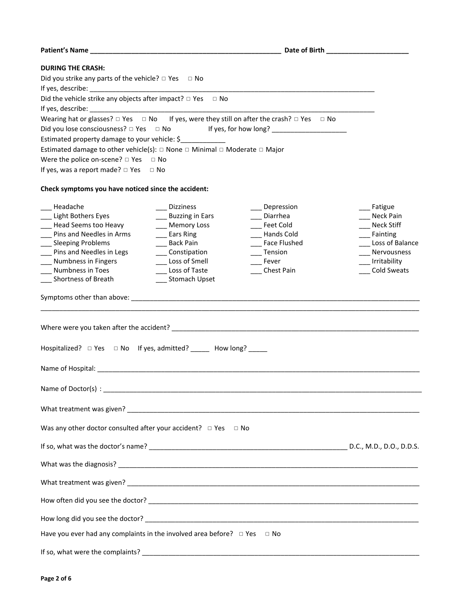| Patient's Name and the state of the state of the state of Birth and the State of Birth and the State of Birth |                                   |                     |                    |
|---------------------------------------------------------------------------------------------------------------|-----------------------------------|---------------------|--------------------|
| <b>DURING THE CRASH:</b>                                                                                      |                                   |                     |                    |
| Did you strike any parts of the vehicle? $\Box$ Yes $\Box$ No                                                 |                                   |                     |                    |
|                                                                                                               |                                   |                     |                    |
| Did the vehicle strike any objects after impact? $\Box$ Yes $\Box$ No                                         |                                   |                     |                    |
|                                                                                                               |                                   |                     |                    |
| Wearing hat or glasses? $\Box$ Yes $\Box$ No If yes, were they still on after the crash? $\Box$ Yes $\Box$ No |                                   |                     |                    |
| Did you lose consciousness? $\Box$ Yes $\Box$ No                                                              |                                   |                     |                    |
| Estimated property damage to your vehicle: \$                                                                 |                                   |                     |                    |
| Estimated damage to other vehicle(s): $\Box$ None $\Box$ Minimal $\Box$ Moderate $\Box$ Major                 |                                   |                     |                    |
| Were the police on-scene? $\Box$ Yes $\Box$ No                                                                |                                   |                     |                    |
| If yes, was a report made? $\square$ Yes $\square$ No                                                         |                                   |                     |                    |
| Check symptoms you have noticed since the accident:                                                           |                                   |                     |                    |
| __ Headache                                                                                                   | <b>Dizziness</b>                  | Depression          | ___ Fatigue        |
| __ Light Bothers Eyes                                                                                         | Buzzing in Ears                   | Diarrhea            | Neck Pain          |
| ___ Head Seems too Heavy                                                                                      | __ Memory Loss                    | __ Feet Cold        | <b>Neck Stiff</b>  |
| __ Pins and Needles in Arms                                                                                   | <b>Ears Ring</b>                  | - Hands Cold        | Fainting           |
| __ Sleeping Problems                                                                                          | <b>Back Pain</b>                  | <b>Face Flushed</b> | Loss of Balance    |
| __ Pins and Needles in Legs                                                                                   | ____ Constipation                 | ___ Tension         | Nervousness        |
| __ Numbness in Fingers                                                                                        | ___ Loss of Smell                 | Fever               | Irritability       |
| <b>Numbness in Toes</b><br>Shortness of Breath                                                                | Loss of Taste<br>__ Stomach Upset | <b>Chest Pain</b>   | <b>Cold Sweats</b> |
|                                                                                                               |                                   |                     |                    |
|                                                                                                               |                                   |                     |                    |
|                                                                                                               |                                   |                     |                    |
| Hospitalized? □ Yes □ No If yes, admitted? _____ How long? _____                                              |                                   |                     |                    |
|                                                                                                               |                                   |                     |                    |
|                                                                                                               |                                   |                     |                    |
|                                                                                                               |                                   |                     |                    |
| Was any other doctor consulted after your accident? $\Box$ Yes $\Box$ No                                      |                                   |                     |                    |
|                                                                                                               |                                   |                     |                    |
|                                                                                                               |                                   |                     |                    |
|                                                                                                               |                                   |                     |                    |
|                                                                                                               |                                   |                     |                    |
|                                                                                                               |                                   |                     |                    |
| Have you ever had any complaints in the involved area before? $\Box$ Yes $\Box$ No                            |                                   |                     |                    |
|                                                                                                               |                                   |                     |                    |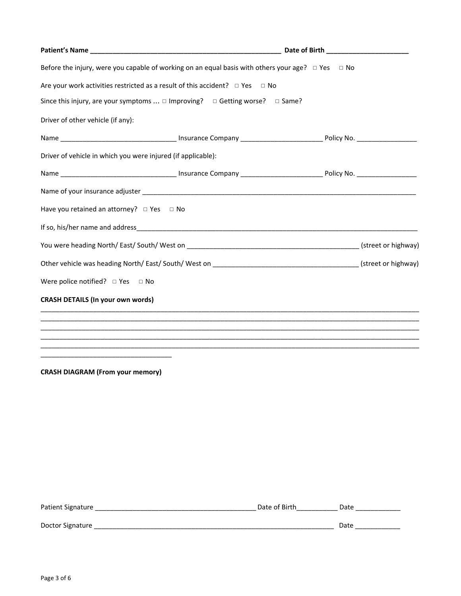| Before the injury, were you capable of working on an equal basis with others your age? $\Box$ Yes $\Box$ No |  |  |
|-------------------------------------------------------------------------------------------------------------|--|--|
| Are your work activities restricted as a result of this accident? $\Box$ Yes $\Box$ No                      |  |  |
| Since this injury, are your symptoms $\Box$ Improving? $\Box$ Getting worse? $\Box$ Same?                   |  |  |
| Driver of other vehicle (if any):                                                                           |  |  |
|                                                                                                             |  |  |
| Driver of vehicle in which you were injured (if applicable):                                                |  |  |
|                                                                                                             |  |  |
|                                                                                                             |  |  |
| Have you retained an attorney? $\Box$ Yes $\Box$ No                                                         |  |  |
|                                                                                                             |  |  |
|                                                                                                             |  |  |
|                                                                                                             |  |  |
| Were police notified? $\Box$ Yes $\Box$ No                                                                  |  |  |
| <b>CRASH DETAILS (In your own words)</b>                                                                    |  |  |
|                                                                                                             |  |  |
|                                                                                                             |  |  |
| <u> 1989 - Andrea Stadt Britain, amerikansk politik (* 1958)</u>                                            |  |  |
|                                                                                                             |  |  |

**CRASH DIAGRAM (From your memory)** 

| Patient Signature | Date of Birth | Date |
|-------------------|---------------|------|
|                   |               |      |
| Doctor Signature  |               | Date |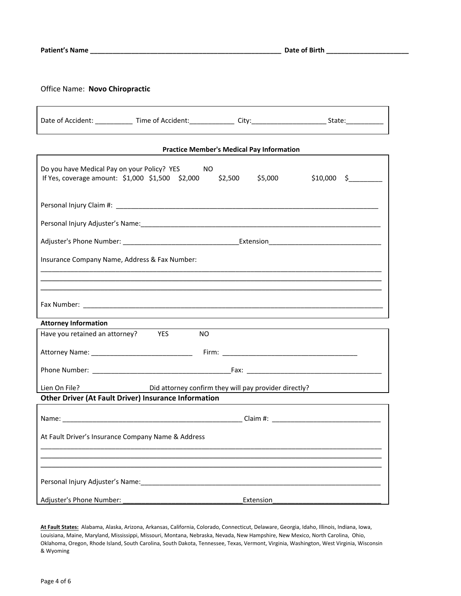### Office Name: **Novo Chiropractic**

|                             | Date of Accident: ______________ Time of Accident: ______________ City: ___________________________ State: _______________ |                                                  |              |
|-----------------------------|----------------------------------------------------------------------------------------------------------------------------|--------------------------------------------------|--------------|
|                             |                                                                                                                            | <b>Practice Member's Medical Pay Information</b> |              |
|                             | Do you have Medical Pay on your Policy? YES NO<br>If Yes, coverage amount: \$1,000 \$1,500 \$2,000 \$2,500 \$5,000         |                                                  | $$10,000$ \$ |
|                             |                                                                                                                            |                                                  |              |
|                             | Personal Injury Adjuster's Name: Mame and Manuscription of the Advance of Terry Adjuster's Name and Adjuster's             |                                                  |              |
|                             |                                                                                                                            |                                                  |              |
|                             | Insurance Company Name, Address & Fax Number:                                                                              |                                                  |              |
|                             |                                                                                                                            |                                                  |              |
| <b>Attorney Information</b> |                                                                                                                            |                                                  |              |
|                             | Have you retained an attorney? YES NO                                                                                      |                                                  |              |
|                             |                                                                                                                            |                                                  |              |
|                             |                                                                                                                            |                                                  |              |
|                             | Lien On File? Did attorney confirm they will pay provider directly?                                                        |                                                  |              |
|                             | <b>Other Driver (At Fault Driver) Insurance Information</b>                                                                |                                                  |              |
|                             |                                                                                                                            |                                                  |              |
|                             | At Fault Driver's Insurance Company Name & Address                                                                         |                                                  |              |
|                             |                                                                                                                            |                                                  |              |
|                             |                                                                                                                            |                                                  |              |
|                             |                                                                                                                            |                                                  |              |
| Adjuster's Phone Number:    |                                                                                                                            | Extension                                        |              |

**At Fault States:** Alabama, Alaska, Arizona, Arkansas, California, Colorado, Connecticut, Delaware, Georgia, Idaho, Illinois, Indiana, Iowa, Louisiana, Maine, Maryland, Mississippi, Missouri, Montana, Nebraska, Nevada, New Hampshire, New Mexico, North Carolina, Ohio, Oklahoma, Oregon, Rhode Island, South Carolina, South Dakota, Tennessee, Texas, Vermont, Virginia, Washington, West Virginia, Wisconsin & Wyoming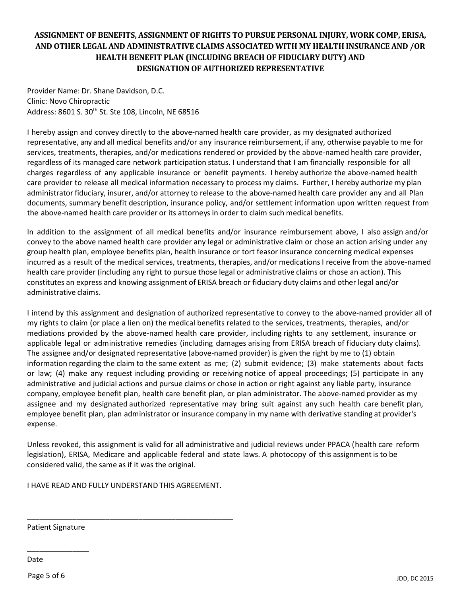## **ASSIGNMENT OF BENEFITS, ASSIGNMENT OF RIGHTS TO PURSUE PERSONAL INJURY, WORK COMP, ERISA, AND OTHER LEGAL AND ADMINISTRATIVE CLAIMS ASSOCIATED WITH MY HEALTH INSURANCE AND /OR HEALTH BENEFIT PLAN (INCLUDING BREACH OF FIDUCIARY DUTY) AND DESIGNATION OF AUTHORIZED REPRESENTATIVE**

Provider Name: Dr. Shane Davidson, D.C. Clinic: Novo Chiropractic Address: 8601 S. 30<sup>th</sup> St. Ste 108, Lincoln, NE 68516

I hereby assign and convey directly to the above-named health care provider, as my designated authorized representative, any and all medical benefits and/or any insurance reimbursement, if any, otherwise payable to me for services, treatments, therapies, and/or medications rendered or provided by the above-named health care provider, regardless of its managed care network participation status. I understand that I am financially responsible for all charges regardless of any applicable insurance or benefit payments. I hereby authorize the above-named health care provider to release all medical information necessary to process my claims. Further, I hereby authorize my plan administrator fiduciary, insurer, and/or attorney to release to the above-named health care provider any and all Plan documents, summary benefit description, insurance policy, and/or settlement information upon written request from the above-named health care provider or its attorneys in order to claim such medical benefits.

In addition to the assignment of all medical benefits and/or insurance reimbursement above, I also assign and/or convey to the above named health care provider any legal or administrative claim or chose an action arising under any group health plan, employee benefits plan, health insurance or tort feasor insurance concerning medical expenses incurred as a result of the medical services, treatments, therapies, and/or medications I receive from the above-named health care provider (including any right to pursue those legal or administrative claims or chose an action). This constitutes an express and knowing assignment of ERISA breach or fiduciary duty claims and other legal and/or administrative claims.

I intend by this assignment and designation of authorized representative to convey to the above-named provider all of my rights to claim (or place a lien on) the medical benefits related to the services, treatments, therapies, and/or mediations provided by the above-named health care provider, including rights to any settlement, insurance or applicable legal or administrative remedies (including damages arising from ERISA breach of fiduciary duty claims). The assignee and/or designated representative (above-named provider) is given the right by me to (1) obtain information regarding the claim to the same extent as me; (2) submit evidence; (3) make statements about facts or law; (4) make any request including providing or receiving notice of appeal proceedings; (5) participate in any administrative and judicial actions and pursue claims or chose in action or right against any liable party, insurance company, employee benefit plan, health care benefit plan, or plan administrator. The above-named provider as my assignee and my designated authorized representative may bring suit against any such health care benefit plan, employee benefit plan, plan administrator or insurance company in my name with derivative standing at provider's expense.

Unless revoked, this assignment is valid for all administrative and judicial reviews under PPACA (health care reform legislation), ERISA, Medicare and applicable federal and state laws. A photocopy of this assignment is to be considered valid, the same as if it was the original.

I HAVE READ AND FULLY UNDERSTAND THIS AGREEMENT.

\_\_\_\_\_\_\_\_\_\_\_\_\_\_\_\_\_\_\_\_\_\_\_\_\_\_\_\_\_\_\_\_\_\_\_\_\_\_\_\_\_\_\_\_\_\_\_\_\_\_

Patient Signature

\_\_\_\_\_\_\_\_\_\_\_\_\_\_\_

Date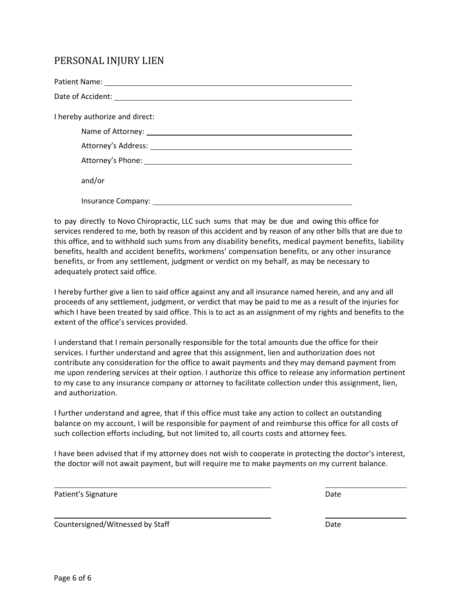# PERSONAL INJURY LIEN

| I hereby authorize and direct: |
|--------------------------------|
|                                |
|                                |
|                                |
| and/or                         |
|                                |

to pay directly to Novo Chiropractic, LLC such sums that may be due and owing this office for services rendered to me, both by reason of this accident and by reason of any other bills that are due to this office, and to withhold such sums from any disability benefits, medical payment benefits, liability benefits, health and accident benefits, workmens' compensation benefits, or any other insurance benefits, or from any settlement, judgment or verdict on my behalf, as may be necessary to adequately protect said office.

I hereby further give a lien to said office against any and all insurance named herein, and any and all proceeds of any settlement, judgment, or verdict that may be paid to me as a result of the injuries for which I have been treated by said office. This is to act as an assignment of my rights and benefits to the extent of the office's services provided.

I understand that I remain personally responsible for the total amounts due the office for their services. I further understand and agree that this assignment, lien and authorization does not contribute any consideration for the office to await payments and they may demand payment from me upon rendering services at their option. I authorize this office to release any information pertinent to my case to any insurance company or attorney to facilitate collection under this assignment, lien, and authorization.

I further understand and agree, that if this office must take any action to collect an outstanding balance on my account, I will be responsible for payment of and reimburse this office for all costs of such collection efforts including, but not limited to, all courts costs and attorney fees.

I have been advised that if my attorney does not wish to cooperate in protecting the doctor's interest, the doctor will not await payment, but will require me to make payments on my current balance.

| Patient's Signature | Date |
|---------------------|------|
|                     |      |

Countersigned/Witnessed by Staff Date Date Date Date Date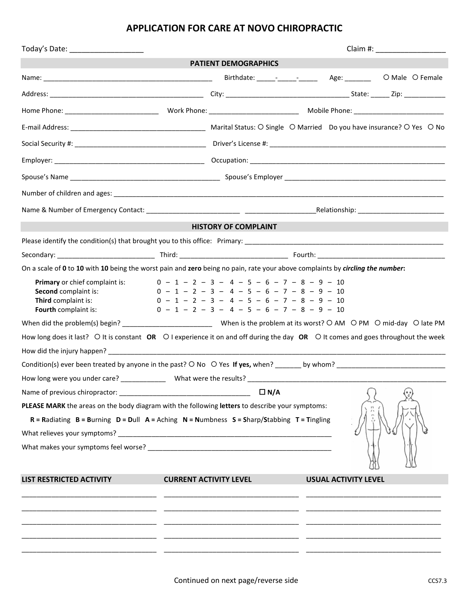# **APPLICATION FOR CARE AT NOVO CHIROPRACTIC**

| Today's Date: _______________________                                                                                                                        | Claim #: _____________________ |                                                                                                                                                                                              |  |                             |  |
|--------------------------------------------------------------------------------------------------------------------------------------------------------------|--------------------------------|----------------------------------------------------------------------------------------------------------------------------------------------------------------------------------------------|--|-----------------------------|--|
|                                                                                                                                                              |                                | <b>PATIENT DEMOGRAPHICS</b>                                                                                                                                                                  |  |                             |  |
|                                                                                                                                                              |                                |                                                                                                                                                                                              |  |                             |  |
|                                                                                                                                                              |                                |                                                                                                                                                                                              |  |                             |  |
|                                                                                                                                                              |                                |                                                                                                                                                                                              |  |                             |  |
|                                                                                                                                                              |                                |                                                                                                                                                                                              |  |                             |  |
|                                                                                                                                                              |                                |                                                                                                                                                                                              |  |                             |  |
|                                                                                                                                                              |                                |                                                                                                                                                                                              |  |                             |  |
|                                                                                                                                                              |                                |                                                                                                                                                                                              |  |                             |  |
|                                                                                                                                                              |                                |                                                                                                                                                                                              |  |                             |  |
|                                                                                                                                                              |                                |                                                                                                                                                                                              |  |                             |  |
|                                                                                                                                                              |                                | <b>HISTORY OF COMPLAINT</b>                                                                                                                                                                  |  |                             |  |
|                                                                                                                                                              |                                |                                                                                                                                                                                              |  |                             |  |
|                                                                                                                                                              |                                |                                                                                                                                                                                              |  |                             |  |
| On a scale of 0 to 10 with 10 being the worst pain and zero being no pain, rate your above complaints by circling the number:                                |                                |                                                                                                                                                                                              |  |                             |  |
| Primary or chief complaint is:<br>Second complaint is:<br>Third complaint is:<br>Fourth complaint is:                                                        |                                | $0 - 1 - 2 - 3 - 4 - 5 - 6 - 7 - 8 - 9 - 10$<br>$0 - 1 - 2 - 3 - 4 - 5 - 6 - 7 - 8 - 9 - 10$<br>$0 - 1 - 2 - 3 - 4 - 5 - 6 - 7 - 8 - 9 - 10$<br>$0 - 1 - 2 - 3 - 4 - 5 - 6 - 7 - 8 - 9 - 10$ |  |                             |  |
|                                                                                                                                                              |                                |                                                                                                                                                                                              |  |                             |  |
| How long does it last? $\bigcirc$ It is constant OR $\bigcirc$ I experience it on and off during the day OR $\bigcirc$ It comes and goes throughout the week |                                |                                                                                                                                                                                              |  |                             |  |
|                                                                                                                                                              |                                |                                                                                                                                                                                              |  |                             |  |
|                                                                                                                                                              |                                |                                                                                                                                                                                              |  |                             |  |
| How long were you under care? Mhat were the results?                                                                                                         |                                |                                                                                                                                                                                              |  |                             |  |
|                                                                                                                                                              |                                | $\Box N/A$                                                                                                                                                                                   |  |                             |  |
| PLEASE MARK the areas on the body diagram with the following letters to describe your symptoms:                                                              |                                |                                                                                                                                                                                              |  |                             |  |
| $R =$ Radiating $B =$ Burning $D =$ Dull $A =$ Aching $N =$ Numbness $S =$ Sharp/Stabbing $T =$ Tingling                                                     |                                |                                                                                                                                                                                              |  |                             |  |
|                                                                                                                                                              |                                |                                                                                                                                                                                              |  |                             |  |
|                                                                                                                                                              |                                |                                                                                                                                                                                              |  |                             |  |
| <b>LIST RESTRICTED ACTIVITY</b>                                                                                                                              |                                | <b>CURRENT ACTIVITY LEVEL</b>                                                                                                                                                                |  | <b>USUAL ACTIVITY LEVEL</b> |  |
|                                                                                                                                                              |                                |                                                                                                                                                                                              |  |                             |  |
|                                                                                                                                                              |                                |                                                                                                                                                                                              |  |                             |  |
|                                                                                                                                                              |                                |                                                                                                                                                                                              |  |                             |  |
|                                                                                                                                                              |                                |                                                                                                                                                                                              |  |                             |  |
|                                                                                                                                                              |                                |                                                                                                                                                                                              |  |                             |  |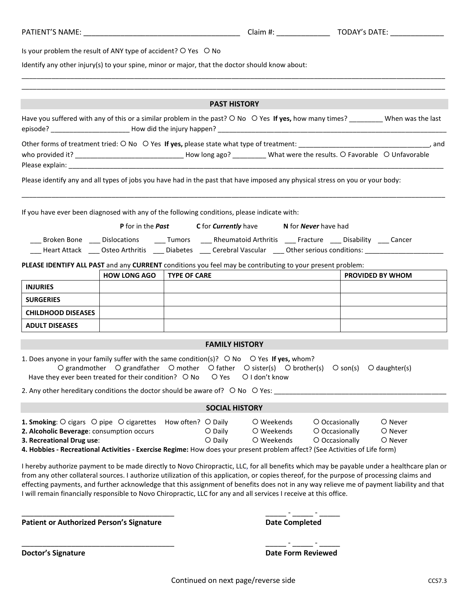| Is your problem the result of ANY type of accident? O Yes O No<br>Identify any other injury(s) to your spine, minor or major, that the doctor should know about:                                                                                                                                                                                                                                                                                                                                                                                             |                     |                                                                                                                                                                                                                                                                                                                                                           |                                        |                                                    |                               |
|--------------------------------------------------------------------------------------------------------------------------------------------------------------------------------------------------------------------------------------------------------------------------------------------------------------------------------------------------------------------------------------------------------------------------------------------------------------------------------------------------------------------------------------------------------------|---------------------|-----------------------------------------------------------------------------------------------------------------------------------------------------------------------------------------------------------------------------------------------------------------------------------------------------------------------------------------------------------|----------------------------------------|----------------------------------------------------|-------------------------------|
|                                                                                                                                                                                                                                                                                                                                                                                                                                                                                                                                                              |                     | <b>PAST HISTORY</b>                                                                                                                                                                                                                                                                                                                                       |                                        |                                                    |                               |
| Have you suffered with any of this or a similar problem in the past? O No O Yes If yes, how many times? ________ When was the last                                                                                                                                                                                                                                                                                                                                                                                                                           |                     |                                                                                                                                                                                                                                                                                                                                                           |                                        |                                                    |                               |
| who provided it? _________________________________How long ago? __________ What were the results. O Favorable O Unfavorable                                                                                                                                                                                                                                                                                                                                                                                                                                  |                     |                                                                                                                                                                                                                                                                                                                                                           |                                        |                                                    |                               |
| Please identify any and all types of jobs you have had in the past that have imposed any physical stress on you or your body:                                                                                                                                                                                                                                                                                                                                                                                                                                |                     |                                                                                                                                                                                                                                                                                                                                                           |                                        |                                                    |                               |
| If you have ever been diagnosed with any of the following conditions, please indicate with:<br>PLEASE IDENTIFY ALL PAST and any CURRENT conditions you feel may be contributing to your present problem:                                                                                                                                                                                                                                                                                                                                                     |                     | <b>P</b> for in the <b>Past</b> C for <b>Currently</b> have <b>N</b> for <b>Never</b> have had<br>___ Broken Bone ___ Dislocations ____ Tumors ____ Rheumatoid Arthritis ___ Fracture ___ Disability ___ Cancer<br>____ Heart Attack _____ Osteo Arthritis _____ Diabetes _____ Cerebral Vascular ____ Other serious conditions: ________________________ |                                        |                                                    |                               |
|                                                                                                                                                                                                                                                                                                                                                                                                                                                                                                                                                              | <b>HOW LONG AGO</b> | <b>TYPE OF CARE</b>                                                                                                                                                                                                                                                                                                                                       |                                        |                                                    | <b>PROVIDED BY WHOM</b>       |
| <b>INJURIES</b><br><b>SURGERIES</b>                                                                                                                                                                                                                                                                                                                                                                                                                                                                                                                          |                     |                                                                                                                                                                                                                                                                                                                                                           |                                        |                                                    |                               |
| <b>CHILDHOOD DISEASES</b>                                                                                                                                                                                                                                                                                                                                                                                                                                                                                                                                    |                     |                                                                                                                                                                                                                                                                                                                                                           |                                        |                                                    |                               |
| <b>ADULT DISEASES</b>                                                                                                                                                                                                                                                                                                                                                                                                                                                                                                                                        |                     |                                                                                                                                                                                                                                                                                                                                                           |                                        |                                                    |                               |
|                                                                                                                                                                                                                                                                                                                                                                                                                                                                                                                                                              |                     |                                                                                                                                                                                                                                                                                                                                                           |                                        |                                                    |                               |
|                                                                                                                                                                                                                                                                                                                                                                                                                                                                                                                                                              |                     | <b>FAMILY HISTORY</b>                                                                                                                                                                                                                                                                                                                                     |                                        |                                                    |                               |
| 1. Does anyone in your family suffer with the same condition(s)? $\bigcirc$ No $\bigcirc$ Yes If yes, whom?<br>Have they ever been treated for their condition? O No                                                                                                                                                                                                                                                                                                                                                                                         |                     | O grandmother O grandfather O mother O father O sister(s) O brother(s) O son(s)<br>O Yes                                                                                                                                                                                                                                                                  | O I don't know                         |                                                    | $O$ daughter(s)               |
| 2. Any other hereditary conditions the doctor should be aware of? O No O Yes: _________                                                                                                                                                                                                                                                                                                                                                                                                                                                                      |                     |                                                                                                                                                                                                                                                                                                                                                           |                                        |                                                    |                               |
|                                                                                                                                                                                                                                                                                                                                                                                                                                                                                                                                                              |                     | <b>SOCIAL HISTORY</b>                                                                                                                                                                                                                                                                                                                                     |                                        |                                                    |                               |
| 1. Smoking: O cigars O pipe O cigarettes<br>2. Alcoholic Beverage: consumption occurs<br>3. Recreational Drug use:<br>4. Hobbies - Recreational Activities - Exercise Regime: How does your present problem affect? (See Activities of Life form)                                                                                                                                                                                                                                                                                                            |                     | How often? O Daily<br>$O$ Daily<br>$O$ Daily                                                                                                                                                                                                                                                                                                              | O Weekends<br>O Weekends<br>O Weekends | O Occasionally<br>O Occasionally<br>O Occasionally | O Never<br>O Never<br>O Never |
| I hereby authorize payment to be made directly to Novo Chiropractic, LLC, for all benefits which may be payable under a healthcare plan or<br>from any other collateral sources. I authorize utilization of this application, or copies thereof, for the purpose of processing claims and<br>effecting payments, and further acknowledge that this assignment of benefits does not in any way relieve me of payment liability and that<br>I will remain financially responsible to Novo Chiropractic, LLC for any and all services I receive at this office. |                     |                                                                                                                                                                                                                                                                                                                                                           |                                        |                                                    |                               |

**Patient or Authorized Person's Signature** 

| <b>Date Completed</b> |  |
|-----------------------|--|

**Doctor's Signature Date Form Reviewed**

\_\_\_\_\_\_\_\_\_\_\_\_\_\_\_\_\_\_\_\_\_\_\_\_\_\_\_\_\_\_\_\_\_\_\_\_\_ \_\_\_\_\_ - \_\_\_\_\_ - \_\_\_\_\_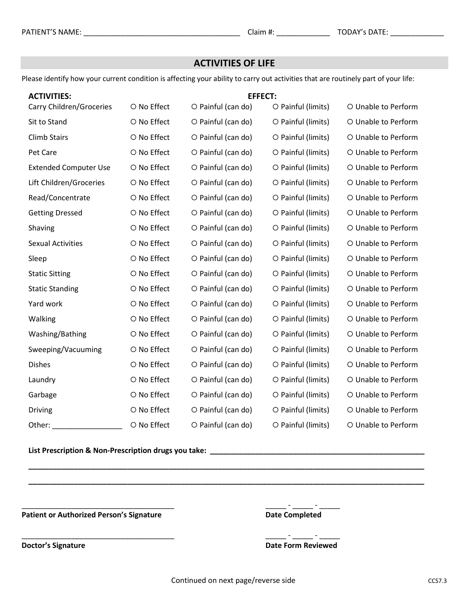## **ACTIVITIES OF LIFE**

Please identify how your current condition is affecting your ability to carry out activities that are routinely part of your life:

| <b>ACTIVITIES:</b>           |             | <b>EFFECT:</b>     |                    |                     |
|------------------------------|-------------|--------------------|--------------------|---------------------|
| Carry Children/Groceries     | O No Effect | O Painful (can do) | O Painful (limits) | O Unable to Perform |
| Sit to Stand                 | O No Effect | O Painful (can do) | O Painful (limits) | O Unable to Perform |
| <b>Climb Stairs</b>          | O No Effect | O Painful (can do) | O Painful (limits) | O Unable to Perform |
| Pet Care                     | O No Effect | O Painful (can do) | O Painful (limits) | O Unable to Perform |
| <b>Extended Computer Use</b> | O No Effect | O Painful (can do) | O Painful (limits) | O Unable to Perform |
| Lift Children/Groceries      | O No Effect | O Painful (can do) | O Painful (limits) | O Unable to Perform |
| Read/Concentrate             | O No Effect | O Painful (can do) | O Painful (limits) | O Unable to Perform |
| <b>Getting Dressed</b>       | O No Effect | O Painful (can do) | O Painful (limits) | O Unable to Perform |
| Shaving                      | O No Effect | O Painful (can do) | O Painful (limits) | O Unable to Perform |
| <b>Sexual Activities</b>     | O No Effect | O Painful (can do) | O Painful (limits) | O Unable to Perform |
| Sleep                        | O No Effect | O Painful (can do) | O Painful (limits) | O Unable to Perform |
| <b>Static Sitting</b>        | O No Effect | O Painful (can do) | O Painful (limits) | O Unable to Perform |
| <b>Static Standing</b>       | O No Effect | O Painful (can do) | O Painful (limits) | O Unable to Perform |
| Yard work                    | O No Effect | O Painful (can do) | O Painful (limits) | O Unable to Perform |
| Walking                      | O No Effect | O Painful (can do) | O Painful (limits) | O Unable to Perform |
| Washing/Bathing              | O No Effect | O Painful (can do) | O Painful (limits) | O Unable to Perform |
| Sweeping/Vacuuming           | O No Effect | O Painful (can do) | O Painful (limits) | O Unable to Perform |
| <b>Dishes</b>                | O No Effect | O Painful (can do) | O Painful (limits) | O Unable to Perform |
| Laundry                      | O No Effect | O Painful (can do) | O Painful (limits) | O Unable to Perform |
| Garbage                      | O No Effect | O Painful (can do) | O Painful (limits) | O Unable to Perform |
| <b>Driving</b>               | O No Effect | O Painful (can do) | O Painful (limits) | O Unable to Perform |
| Other:                       | O No Effect | O Painful (can do) | O Painful (limits) | O Unable to Perform |

**List Prescription & Non-Prescription drugs you take: \_\_\_\_\_\_\_\_\_\_\_\_\_\_\_\_\_\_\_\_\_\_\_\_\_\_\_\_\_\_\_\_\_\_\_\_\_\_\_\_\_\_\_\_\_\_\_\_\_\_\_\_**

**Patient or Authorized Person's Signature Date Completed** 

 $\_$  -  $\_$  -  $\_$  -  $\_$  -  $\_$ 

\_\_\_\_\_\_\_\_\_\_\_\_\_\_\_\_\_\_\_\_\_\_\_\_\_\_\_\_\_\_\_\_\_\_\_\_\_ \_\_\_\_\_ - \_\_\_\_\_ - \_\_\_\_\_ **Doctor's Signature Date Form Reviewed**

**\_\_\_\_\_\_\_\_\_\_\_\_\_\_\_\_\_\_\_\_\_\_\_\_\_\_\_\_\_\_\_\_\_\_\_\_\_\_\_\_\_\_\_\_\_\_\_\_\_\_\_\_\_\_\_\_\_\_\_\_\_\_\_\_\_\_\_\_\_\_\_\_\_\_\_\_\_\_\_\_\_\_\_\_\_\_\_\_\_\_\_\_\_\_\_\_**

**\_\_\_\_\_\_\_\_\_\_\_\_\_\_\_\_\_\_\_\_\_\_\_\_\_\_\_\_\_\_\_\_\_\_\_\_\_\_\_\_\_\_\_\_\_\_\_\_\_\_\_\_\_\_\_\_\_\_\_\_\_\_\_\_\_\_\_\_\_\_\_\_\_\_\_\_\_\_\_\_\_\_\_\_\_\_\_\_\_\_\_\_\_\_\_\_**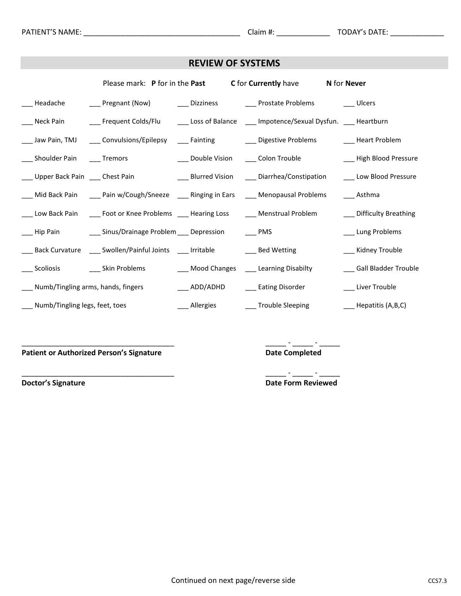| <b>REVIEW OF SYSTEMS</b>                |                                                                                   |  |                                                                                                                                  |                                                    |
|-----------------------------------------|-----------------------------------------------------------------------------------|--|----------------------------------------------------------------------------------------------------------------------------------|----------------------------------------------------|
|                                         |                                                                                   |  | Please mark: P for in the Past C for Currently have N for Never                                                                  |                                                    |
|                                         |                                                                                   |  | ___ Headache     ___ Pregnant (Now)     ___ Dizziness     ___ Prostate Problems      ___ Ulcers                                  |                                                    |
|                                         |                                                                                   |  | ___ Neck Pain ____ Frequent Colds/Flu ____ Loss of Balance ___ Impotence/Sexual Dysfun. ___ Heartburn                            |                                                    |
|                                         |                                                                                   |  | ___ Jaw Pain, TMJ ____ Convulsions/Epilepsy ____ Fainting ____ ___ Digestive Problems _____ Heart Problem                        |                                                    |
| ___ Shoulder Pain ____ Tremors          |                                                                                   |  | ____ Double Vision _____ Colon Trouble                                                                                           | ___ High Blood Pressure                            |
|                                         |                                                                                   |  | ___ Upper Back Pain ___ Chest Pain ____ __________________ Blurred Vision ______ Diarrhea/Constipation ______ Low Blood Pressure |                                                    |
|                                         |                                                                                   |  | ___ Mid Back Pain ____ Pain w/Cough/Sneeze ____ Ringing in Ears ____ Menopausal Problems ____ Asthma                             |                                                    |
|                                         |                                                                                   |  | ___ Low Back Pain ____ Foot or Knee Problems ___ Hearing Loss _____ Menstrual Problem                                            | ___ Difficulty Breathing                           |
|                                         | __ Hip Pain ________ Sinus/Drainage Problem ____ Depression ______ PMS            |  |                                                                                                                                  | ___ Lung Problems                                  |
|                                         | ___ Back Curvature ____ Swollen/Painful Joints ___ Irritable ___ ____ Bed Wetting |  |                                                                                                                                  | ___ Kidney Trouble                                 |
| ____ Scoliosis _____ ____ Skin Problems |                                                                                   |  | ___ Mood Changes ____ Learning Disabilty                                                                                         | ___ Gall Bladder Trouble                           |
| ___ Numb/Tingling arms, hands, fingers  |                                                                                   |  | ____ ADD/ADHD _____ Eating Disorder                                                                                              | ___ Liver Trouble                                  |
| __ Numb/Tingling legs, feet, toes       |                                                                                   |  | ____ Allergies _____ Trouble Sleeping                                                                                            | $\frac{1}{\sqrt{1-\frac{1}{2}}}$ Hepatitis (A,B,C) |

**Patient or Authorized Person's Signature** 

\_\_\_\_\_\_<sup>-</sup>\_\_\_\_\_\_<sup>-</sup>\_\_\_\_\_\_<br>Date Completed

**Doctor's Signature** 

 $\frac{1}{\sqrt{1-\frac{1}{2}}}\frac{1}{\sqrt{1-\frac{1}{2}}}\frac{1}{\sqrt{1-\frac{1}{2}}}\frac{1}{\sqrt{1-\frac{1}{2}}}\frac{1}{\sqrt{1-\frac{1}{2}}}\frac{1}{\sqrt{1-\frac{1}{2}}}\frac{1}{\sqrt{1-\frac{1}{2}}}\frac{1}{\sqrt{1-\frac{1}{2}}}\frac{1}{\sqrt{1-\frac{1}{2}}}\frac{1}{\sqrt{1-\frac{1}{2}}}\frac{1}{\sqrt{1-\frac{1}{2}}}\frac{1}{\sqrt{1-\frac{1}{2}}}\frac{1}{\sqrt{1-\frac{1}{2}}}\frac{1}{\sqrt{1-\frac{$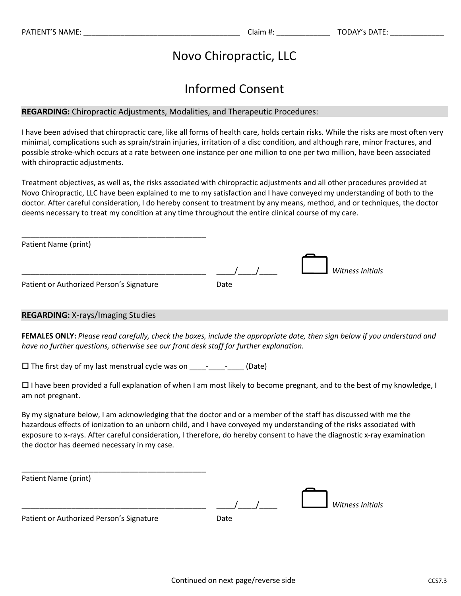# Novo Chiropractic, LLC

# Informed Consent

#### **REGARDING:** Chiropractic Adjustments, Modalities, and Therapeutic Procedures:

I have been advised that chiropractic care, like all forms of health care, holds certain risks. While the risks are most often very minimal, complications such as sprain/strain injuries, irritation of a disc condition, and although rare, minor fractures, and possible stroke-which occurs at a rate between one instance per one million to one per two million, have been associated with chiropractic adjustments.

Treatment objectives, as well as, the risks associated with chiropractic adjustments and all other procedures provided at Novo Chiropractic, LLC have been explained to me to my satisfaction and I have conveyed my understanding of both to the doctor. After careful consideration, I do hereby consent to treatment by any means, method, and or techniques, the doctor deems necessary to treat my condition at any time throughout the entire clinical course of my care.

| Patient Name (print)                     |      |                  |
|------------------------------------------|------|------------------|
|                                          |      |                  |
|                                          |      | Witness Initials |
| Patient or Authorized Person's Signature | Date |                  |
|                                          |      |                  |

### **REGARDING:** X-rays/Imaging Studies

**FEMALES ONLY:** *Please read carefully, check the boxes, include the appropriate date, then sign below if you understand and have no further questions, otherwise see our front desk staff for further explanation.*

 $\Box$  The first day of my last menstrual cycle was on \_\_\_\_\_-\_\_\_\_\_\_\_\_\_(Date)

 $\Box$  I have been provided a full explanation of when I am most likely to become pregnant, and to the best of my knowledge, I am not pregnant.

By my signature below, I am acknowledging that the doctor and or a member of the staff has discussed with me the hazardous effects of ionization to an unborn child, and I have conveyed my understanding of the risks associated with exposure to x-rays. After careful consideration, I therefore, do hereby consent to have the diagnostic x-ray examination the doctor has deemed necessary in my case.

Patient Name (print)

|                                                         |       | / Vitness Initials |  |
|---------------------------------------------------------|-------|--------------------|--|
| $Dathout = u_0 \wedge uhhuit = dDannout = ciamout, u_0$ | Data. |                    |  |

Patient or Authorized Person's Signature Date

\_\_\_\_\_\_\_\_\_\_\_\_\_\_\_\_\_\_\_\_\_\_\_\_\_\_\_\_\_\_\_\_\_\_\_\_\_\_\_\_\_